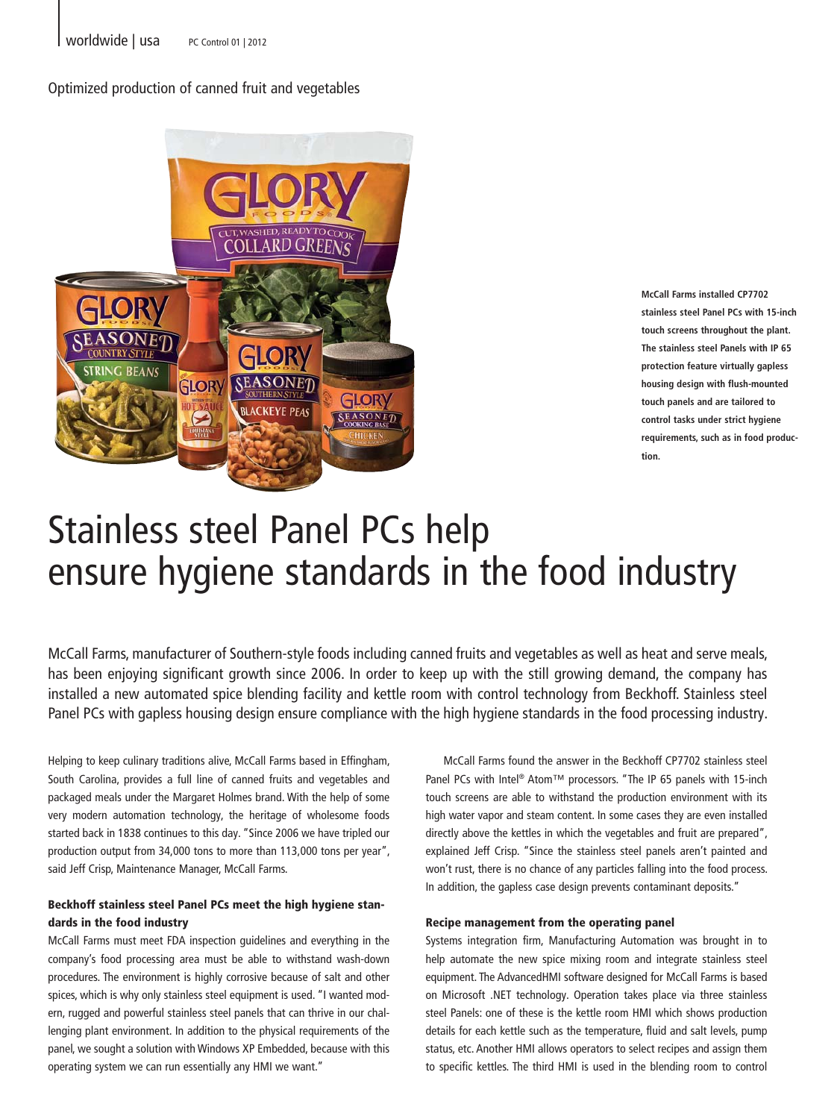Optimized production of canned fruit and vegetables



**McCall Farms installed CP7702 stainless steel Panel PCs with 15-inch touch screens throughout the plant. The stainless steel Panels with IP 65 protection feature virtually gapless housing design with flush-mounted touch panels and are tailored to control tasks under strict hygiene requirements, such as in food production.** 

## Stainless steel Panel PCs help ensure hygiene standards in the food industry

McCall Farms, manufacturer of Southern-style foods including canned fruits and vegetables as well as heat and serve meals, has been enjoying significant growth since 2006. In order to keep up with the still growing demand, the company has installed a new automated spice blending facility and kettle room with control technology from Beckhoff. Stainless steel Panel PCs with gapless housing design ensure compliance with the high hygiene standards in the food processing industry.

Helping to keep culinary traditions alive, McCall Farms based in Effingham, South Carolina, provides a full line of canned fruits and vegetables and packaged meals under the Margaret Holmes brand. With the help of some very modern automation technology, the heritage of wholesome foods started back in 1838 continues to this day. "Since 2006 we have tripled our production output from 34,000 tons to more than 113,000 tons per year", said Jeff Crisp, Maintenance Manager, McCall Farms.

## Beckhoff stainless steel Panel PCs meet the high hygiene standards in the food industry

McCall Farms must meet FDA inspection guidelines and everything in the company's food processing area must be able to withstand wash-down procedures. The environment is highly corrosive because of salt and other spices, which is why only stainless steel equipment is used. "I wanted modern, rugged and powerful stainless steel panels that can thrive in our challenging plant environment. In addition to the physical requirements of the panel, we sought a solution with Windows XP Embedded, because with this operating system we can run essentially any HMI we want."

McCall Farms found the answer in the Beckhoff CP7702 stainless steel Panel PCs with Intel® Atom™ processors. "The IP 65 panels with 15-inch touch screens are able to withstand the production environment with its high water vapor and steam content. In some cases they are even installed directly above the kettles in which the vegetables and fruit are prepared", explained Jeff Crisp. "Since the stainless steel panels aren't painted and won't rust, there is no chance of any particles falling into the food process. In addition, the gapless case design prevents contaminant deposits."

## Recipe management from the operating panel

Systems integration firm, Manufacturing Automation was brought in to help automate the new spice mixing room and integrate stainless steel equipment. The AdvancedHMI software designed for McCall Farms is based on Microsoft .NET technology. Operation takes place via three stainless steel Panels: one of these is the kettle room HMI which shows production details for each kettle such as the temperature, fluid and salt levels, pump status, etc. Another HMI allows operators to select recipes and assign them to specific kettles. The third HMI is used in the blending room to control